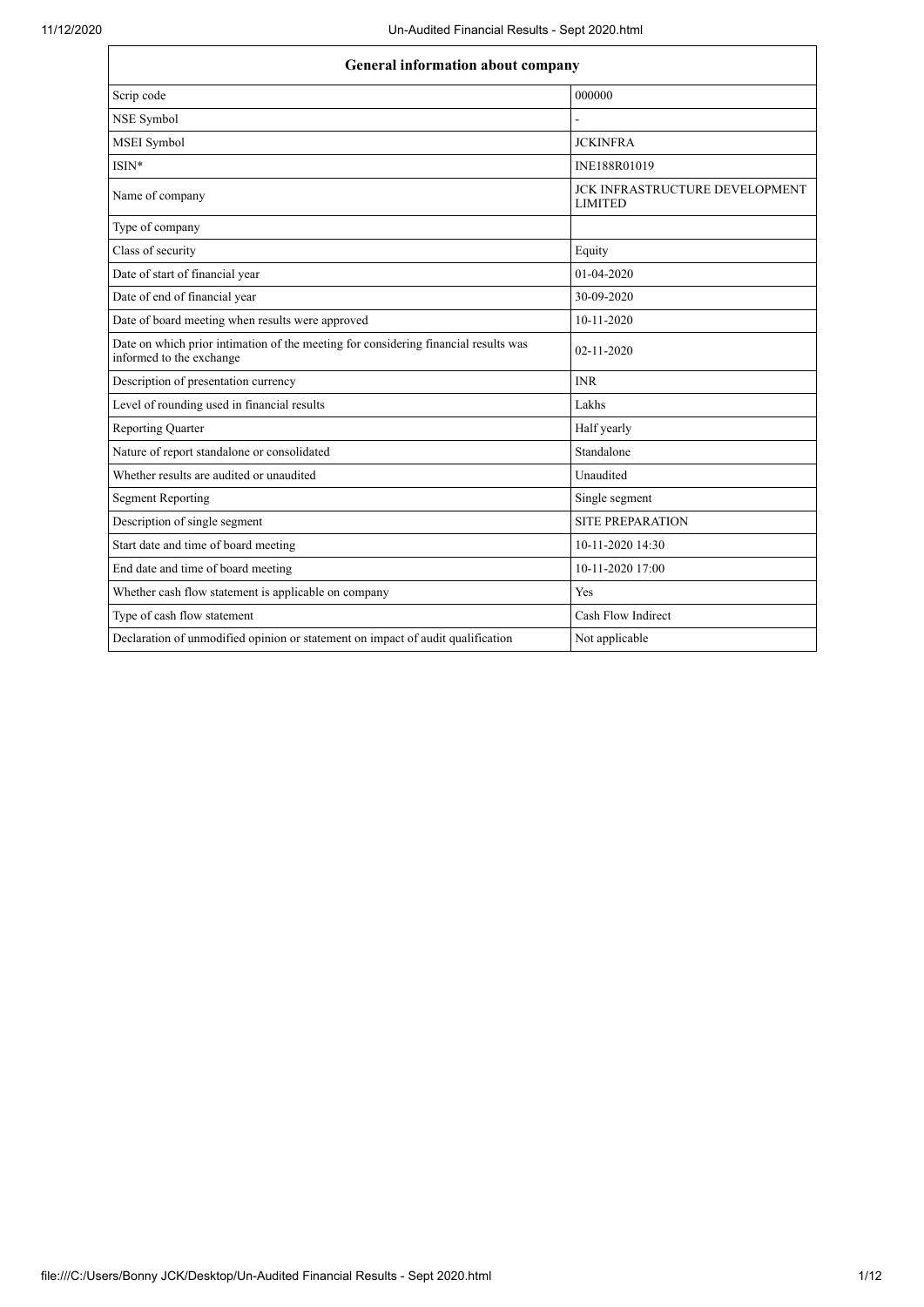| <b>General information about company</b>                                                                        |                                                         |  |
|-----------------------------------------------------------------------------------------------------------------|---------------------------------------------------------|--|
| Scrip code                                                                                                      | 000000                                                  |  |
| NSE Symbol                                                                                                      |                                                         |  |
| MSEI Symbol                                                                                                     | <b>JCKINFRA</b>                                         |  |
| $ISIN*$                                                                                                         | INE188R01019                                            |  |
| Name of company                                                                                                 | <b>JCK INFRASTRUCTURE DEVELOPMENT</b><br><b>LIMITED</b> |  |
| Type of company                                                                                                 |                                                         |  |
| Class of security                                                                                               | Equity                                                  |  |
| Date of start of financial year                                                                                 | $01-04-2020$                                            |  |
| Date of end of financial year                                                                                   | 30-09-2020                                              |  |
| Date of board meeting when results were approved                                                                | 10-11-2020                                              |  |
| Date on which prior intimation of the meeting for considering financial results was<br>informed to the exchange | 02-11-2020                                              |  |
| Description of presentation currency                                                                            | <b>INR</b>                                              |  |
| Level of rounding used in financial results                                                                     | Lakhs                                                   |  |
| <b>Reporting Quarter</b>                                                                                        | Half yearly                                             |  |
| Nature of report standalone or consolidated                                                                     | Standalone                                              |  |
| Whether results are audited or unaudited                                                                        | Unaudited                                               |  |
| <b>Segment Reporting</b>                                                                                        | Single segment                                          |  |
| Description of single segment                                                                                   | <b>SITE PREPARATION</b>                                 |  |
| Start date and time of board meeting                                                                            | 10-11-2020 14:30                                        |  |
| End date and time of board meeting                                                                              | 10-11-2020 17:00                                        |  |
| Whether cash flow statement is applicable on company                                                            | Yes                                                     |  |
| Type of cash flow statement                                                                                     | Cash Flow Indirect                                      |  |
| Declaration of unmodified opinion or statement on impact of audit qualification                                 | Not applicable                                          |  |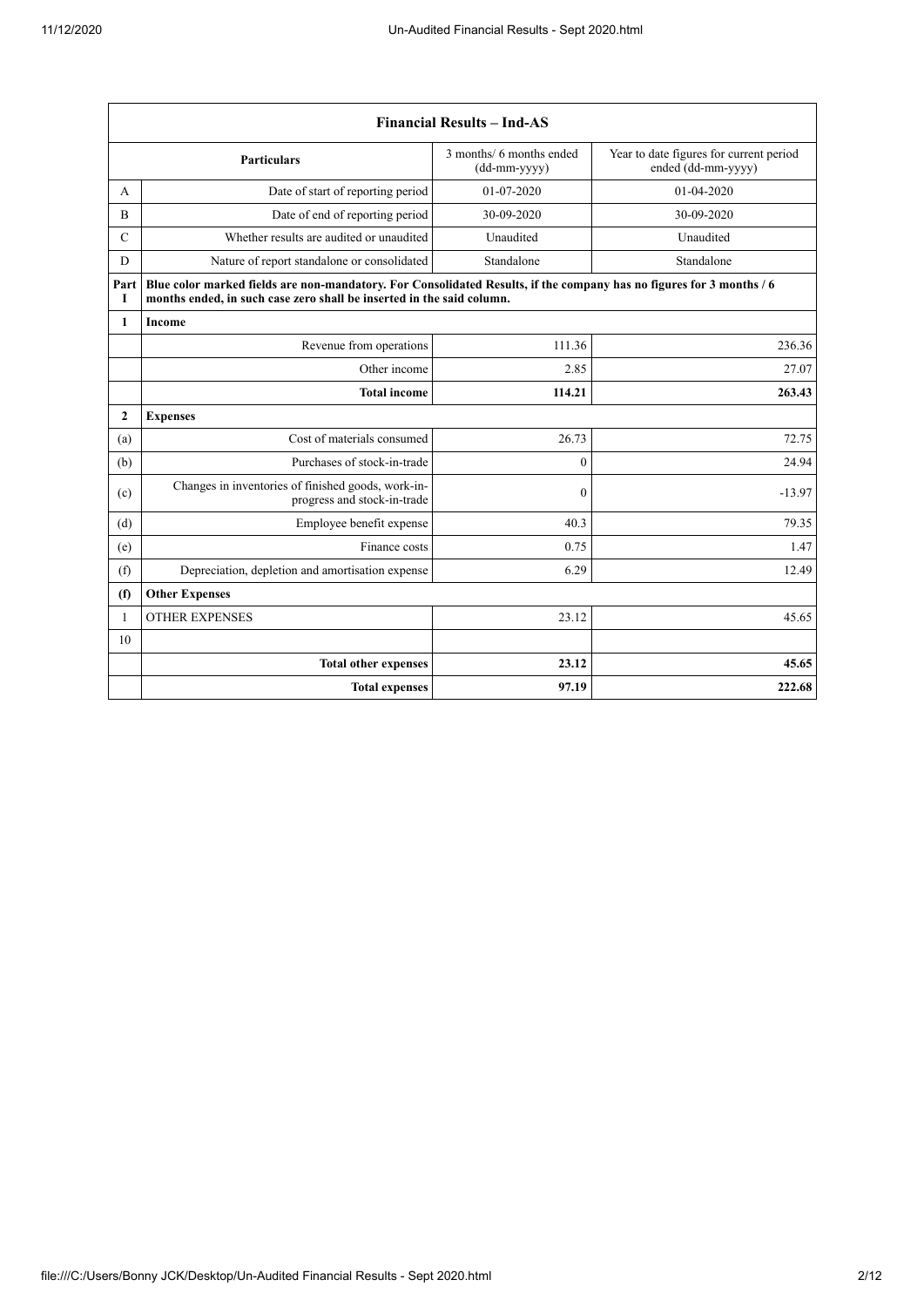|                | <b>Financial Results - Ind-AS</b>                                                                                                                                                             |                                                                                 |                                                               |  |  |
|----------------|-----------------------------------------------------------------------------------------------------------------------------------------------------------------------------------------------|---------------------------------------------------------------------------------|---------------------------------------------------------------|--|--|
|                | <b>Particulars</b>                                                                                                                                                                            | 3 months/ 6 months ended<br>$(dd{\text{-}\!\!\,\text{mm-}}\text{\small{yyyy}})$ | Year to date figures for current period<br>ended (dd-mm-yyyy) |  |  |
| A              | Date of start of reporting period                                                                                                                                                             | 01-07-2020                                                                      | 01-04-2020                                                    |  |  |
| $\overline{B}$ | Date of end of reporting period                                                                                                                                                               | 30-09-2020                                                                      | 30-09-2020                                                    |  |  |
| $\mathcal{C}$  | Whether results are audited or unaudited                                                                                                                                                      | Unaudited                                                                       | Unaudited                                                     |  |  |
| D              | Nature of report standalone or consolidated                                                                                                                                                   | Standalone                                                                      | Standalone                                                    |  |  |
| Part<br>I      | Blue color marked fields are non-mandatory. For Consolidated Results, if the company has no figures for 3 months / 6<br>months ended, in such case zero shall be inserted in the said column. |                                                                                 |                                                               |  |  |
| $\mathbf{1}$   | <b>Income</b>                                                                                                                                                                                 |                                                                                 |                                                               |  |  |
|                | Revenue from operations                                                                                                                                                                       | 111.36                                                                          | 236.36                                                        |  |  |
|                | Other income                                                                                                                                                                                  | 2.85                                                                            | 27.07                                                         |  |  |
|                | <b>Total income</b>                                                                                                                                                                           | 114.21                                                                          | 263.43                                                        |  |  |
| $\overline{2}$ | <b>Expenses</b>                                                                                                                                                                               |                                                                                 |                                                               |  |  |
| (a)            | Cost of materials consumed                                                                                                                                                                    | 26.73                                                                           | 72.75                                                         |  |  |
| (b)            | Purchases of stock-in-trade                                                                                                                                                                   | $\theta$                                                                        | 24.94                                                         |  |  |
| (c)            | Changes in inventories of finished goods, work-in-<br>progress and stock-in-trade                                                                                                             | $\mathbf{0}$                                                                    | $-13.97$                                                      |  |  |
| (d)            | Employee benefit expense                                                                                                                                                                      | 40.3                                                                            | 79.35                                                         |  |  |
| (e)            | Finance costs                                                                                                                                                                                 | 0.75                                                                            | 1.47                                                          |  |  |
| (f)            | Depreciation, depletion and amortisation expense                                                                                                                                              | 6.29                                                                            | 12.49                                                         |  |  |
| (f)            | <b>Other Expenses</b>                                                                                                                                                                         |                                                                                 |                                                               |  |  |
| 1              | <b>OTHER EXPENSES</b>                                                                                                                                                                         | 23.12                                                                           | 45.65                                                         |  |  |
| 10             |                                                                                                                                                                                               |                                                                                 |                                                               |  |  |
|                | <b>Total other expenses</b>                                                                                                                                                                   | 23.12                                                                           | 45.65                                                         |  |  |
|                | <b>Total expenses</b>                                                                                                                                                                         | 97.19                                                                           | 222.68                                                        |  |  |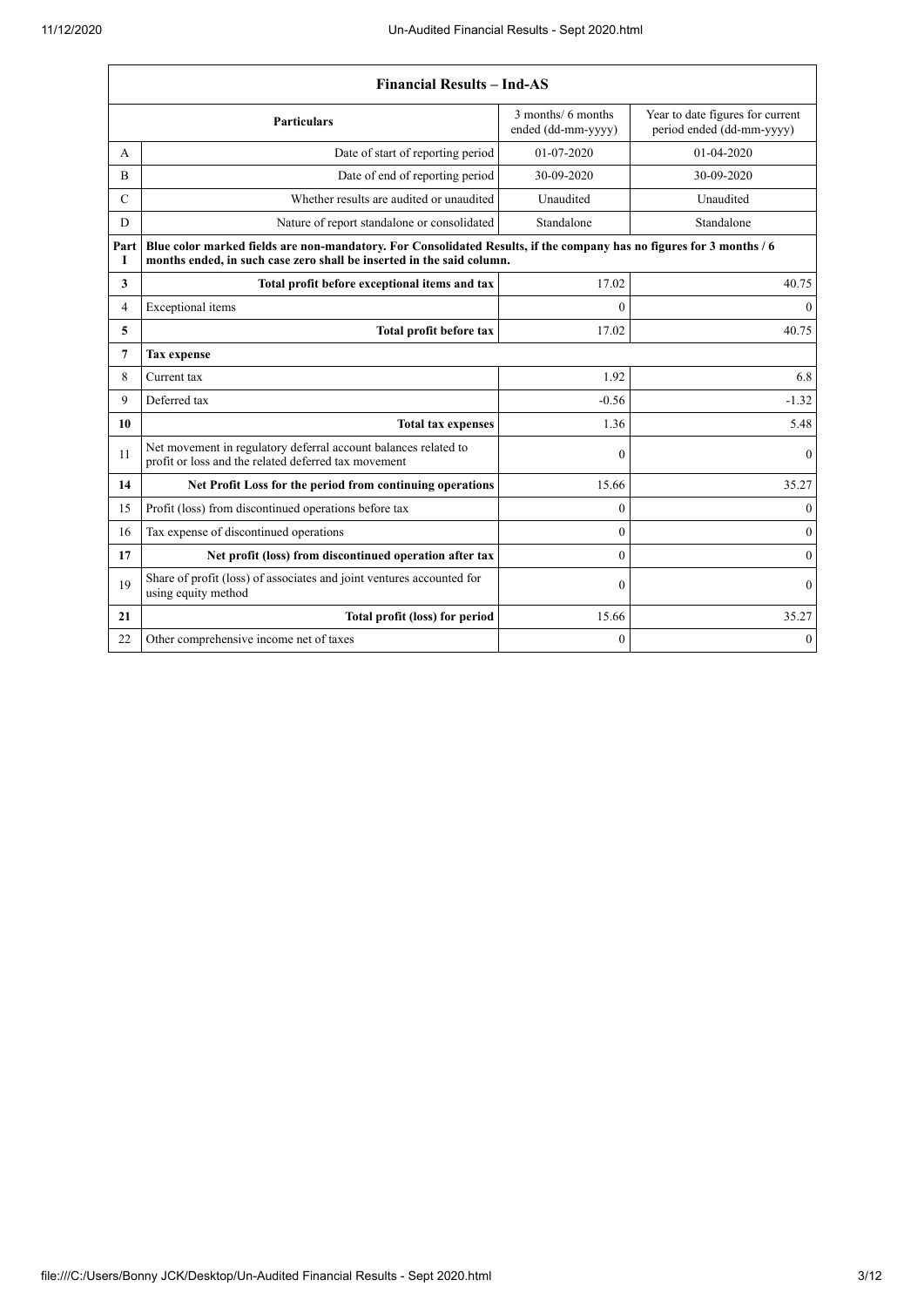|                | <b>Financial Results - Ind-AS</b>                                                                                                                                                             |                                          |                                                               |  |  |
|----------------|-----------------------------------------------------------------------------------------------------------------------------------------------------------------------------------------------|------------------------------------------|---------------------------------------------------------------|--|--|
|                | <b>Particulars</b>                                                                                                                                                                            | 3 months/ 6 months<br>ended (dd-mm-yyyy) | Year to date figures for current<br>period ended (dd-mm-yyyy) |  |  |
| A              | Date of start of reporting period                                                                                                                                                             | $01-07-2020$                             | $01-04-2020$                                                  |  |  |
| B              | Date of end of reporting period                                                                                                                                                               | 30-09-2020                               | 30-09-2020                                                    |  |  |
| $\mathcal{C}$  | Whether results are audited or unaudited                                                                                                                                                      | Unaudited                                | Unaudited                                                     |  |  |
| D              | Nature of report standalone or consolidated                                                                                                                                                   | Standalone                               | Standalone                                                    |  |  |
| Part<br>Т      | Blue color marked fields are non-mandatory. For Consolidated Results, if the company has no figures for 3 months / 6<br>months ended, in such case zero shall be inserted in the said column. |                                          |                                                               |  |  |
| 3              | Total profit before exceptional items and tax                                                                                                                                                 | 17.02                                    | 40.75                                                         |  |  |
| $\overline{4}$ | Exceptional items                                                                                                                                                                             | $\theta$                                 | $\theta$                                                      |  |  |
| 5              | Total profit before tax                                                                                                                                                                       | 17.02                                    | 40.75                                                         |  |  |
| $\overline{7}$ | <b>Tax expense</b>                                                                                                                                                                            |                                          |                                                               |  |  |
| 8              | Current tax                                                                                                                                                                                   | 1.92                                     | 6.8                                                           |  |  |
| 9              | Deferred tax                                                                                                                                                                                  | $-0.56$                                  | $-1.32$                                                       |  |  |
| 10             | <b>Total tax expenses</b>                                                                                                                                                                     | 1.36                                     | 5.48                                                          |  |  |
| 11             | Net movement in regulatory deferral account balances related to<br>profit or loss and the related deferred tax movement                                                                       | $\mathbf{0}$                             | $\mathbf{0}$                                                  |  |  |
| 14             | Net Profit Loss for the period from continuing operations                                                                                                                                     | 15.66                                    | 35.27                                                         |  |  |
| 15             | Profit (loss) from discontinued operations before tax                                                                                                                                         | $\theta$                                 | $\mathbf{0}$                                                  |  |  |
| 16             | Tax expense of discontinued operations                                                                                                                                                        | $\theta$                                 | $\boldsymbol{0}$                                              |  |  |
| 17             | Net profit (loss) from discontinued operation after tax                                                                                                                                       | $\theta$                                 | $\boldsymbol{0}$                                              |  |  |
| 19             | Share of profit (loss) of associates and joint ventures accounted for<br>using equity method                                                                                                  | $\theta$                                 | $\boldsymbol{0}$                                              |  |  |
| 21             | Total profit (loss) for period                                                                                                                                                                | 15.66                                    | 35.27                                                         |  |  |
| 22             | Other comprehensive income net of taxes                                                                                                                                                       | $\mathbf{0}$                             | $\mathbf{0}$                                                  |  |  |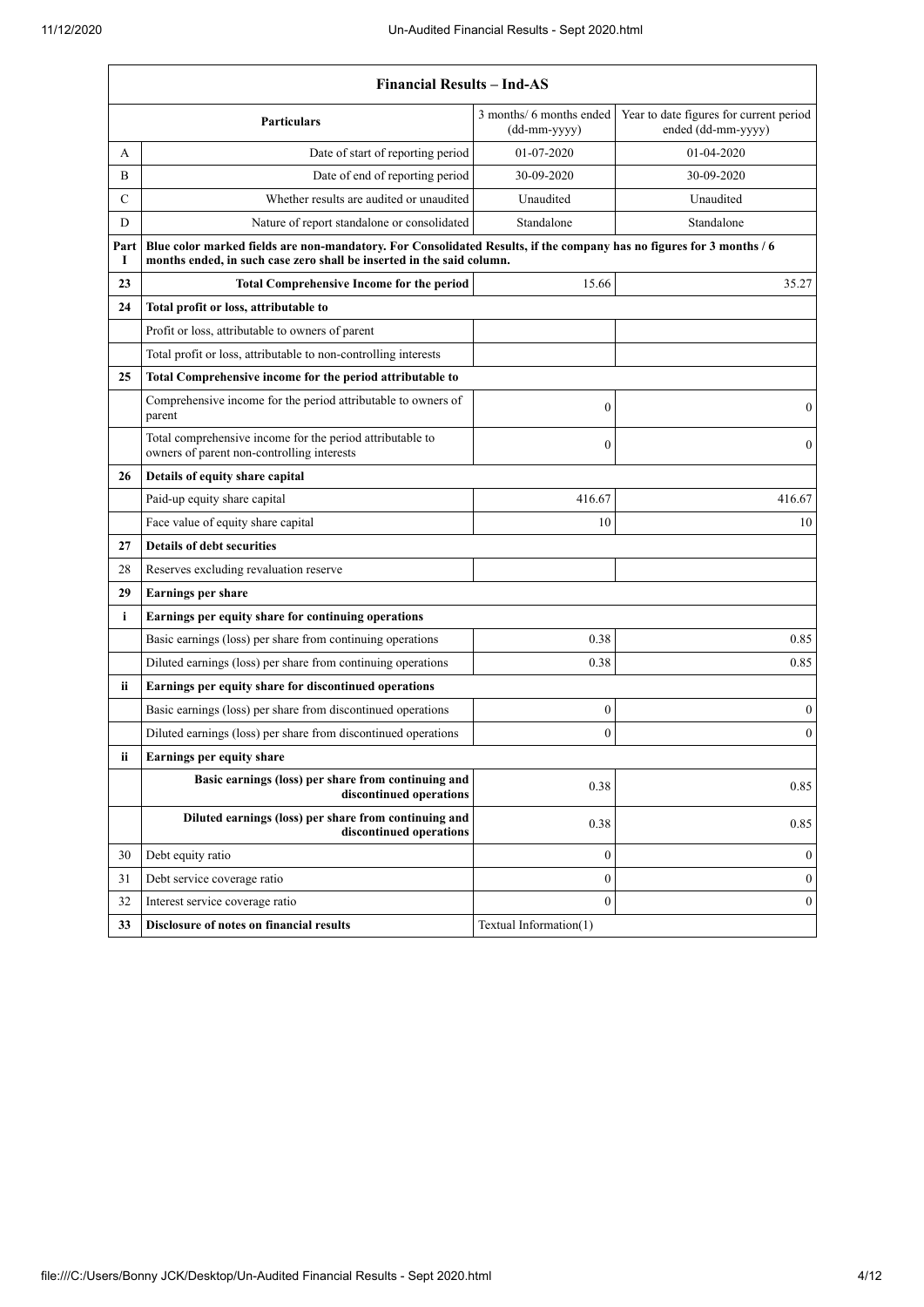**T** 

|                                  | <b>Financial Results - Ind-AS</b>                                                                                                                                                             |                                          |                                                               |  |  |
|----------------------------------|-----------------------------------------------------------------------------------------------------------------------------------------------------------------------------------------------|------------------------------------------|---------------------------------------------------------------|--|--|
|                                  | <b>Particulars</b>                                                                                                                                                                            | 3 months/ 6 months ended<br>(dd-mm-yyyy) | Year to date figures for current period<br>ended (dd-mm-yyyy) |  |  |
| А                                | Date of start of reporting period                                                                                                                                                             | 01-07-2020                               | 01-04-2020                                                    |  |  |
| B                                | Date of end of reporting period                                                                                                                                                               | 30-09-2020                               | 30-09-2020                                                    |  |  |
| C                                | Whether results are audited or unaudited                                                                                                                                                      | Unaudited                                | Unaudited                                                     |  |  |
| D                                | Nature of report standalone or consolidated                                                                                                                                                   | Standalone                               | Standalone                                                    |  |  |
| Part<br>1                        | Blue color marked fields are non-mandatory. For Consolidated Results, if the company has no figures for 3 months / 6<br>months ended, in such case zero shall be inserted in the said column. |                                          |                                                               |  |  |
| 23                               | <b>Total Comprehensive Income for the period</b>                                                                                                                                              | 15.66                                    | 35.27                                                         |  |  |
| 24                               | Total profit or loss, attributable to                                                                                                                                                         |                                          |                                                               |  |  |
|                                  | Profit or loss, attributable to owners of parent                                                                                                                                              |                                          |                                                               |  |  |
|                                  | Total profit or loss, attributable to non-controlling interests                                                                                                                               |                                          |                                                               |  |  |
| 25                               | Total Comprehensive income for the period attributable to                                                                                                                                     |                                          |                                                               |  |  |
|                                  | Comprehensive income for the period attributable to owners of<br>parent                                                                                                                       | $\boldsymbol{0}$                         | $\mathbf{0}$                                                  |  |  |
|                                  | Total comprehensive income for the period attributable to<br>owners of parent non-controlling interests                                                                                       | $\boldsymbol{0}$                         | $\overline{0}$                                                |  |  |
| 26                               | Details of equity share capital                                                                                                                                                               |                                          |                                                               |  |  |
|                                  | Paid-up equity share capital                                                                                                                                                                  | 416.67                                   | 416.67                                                        |  |  |
|                                  | Face value of equity share capital                                                                                                                                                            | 10                                       | 10                                                            |  |  |
| 27                               | <b>Details of debt securities</b>                                                                                                                                                             |                                          |                                                               |  |  |
| 28                               | Reserves excluding revaluation reserve                                                                                                                                                        |                                          |                                                               |  |  |
| 29                               | <b>Earnings per share</b>                                                                                                                                                                     |                                          |                                                               |  |  |
| i                                | Earnings per equity share for continuing operations                                                                                                                                           |                                          |                                                               |  |  |
|                                  | Basic earnings (loss) per share from continuing operations                                                                                                                                    | 0.38                                     | 0.85                                                          |  |  |
|                                  | Diluted earnings (loss) per share from continuing operations                                                                                                                                  | 0.38                                     | 0.85                                                          |  |  |
| ii.                              | Earnings per equity share for discontinued operations                                                                                                                                         |                                          |                                                               |  |  |
|                                  | Basic earnings (loss) per share from discontinued operations                                                                                                                                  | $\boldsymbol{0}$                         | $\boldsymbol{0}$                                              |  |  |
|                                  | Diluted earnings (loss) per share from discontinued operations                                                                                                                                | $\overline{0}$                           | $\boldsymbol{0}$                                              |  |  |
| Earnings per equity share<br>ii. |                                                                                                                                                                                               |                                          |                                                               |  |  |
|                                  | Basic earnings (loss) per share from continuing and<br>discontinued operations                                                                                                                | 0.38                                     | 0.85                                                          |  |  |
|                                  | Diluted earnings (loss) per share from continuing and<br>discontinued operations                                                                                                              | 0.38                                     | 0.85                                                          |  |  |
| 30                               | Debt equity ratio                                                                                                                                                                             | $\boldsymbol{0}$                         | $\boldsymbol{0}$                                              |  |  |
| 31                               | Debt service coverage ratio                                                                                                                                                                   | $\boldsymbol{0}$                         | $\boldsymbol{0}$                                              |  |  |
| 32                               | Interest service coverage ratio                                                                                                                                                               | $\overline{0}$                           | $\boldsymbol{0}$                                              |  |  |
| 33                               | Disclosure of notes on financial results                                                                                                                                                      | Textual Information(1)                   |                                                               |  |  |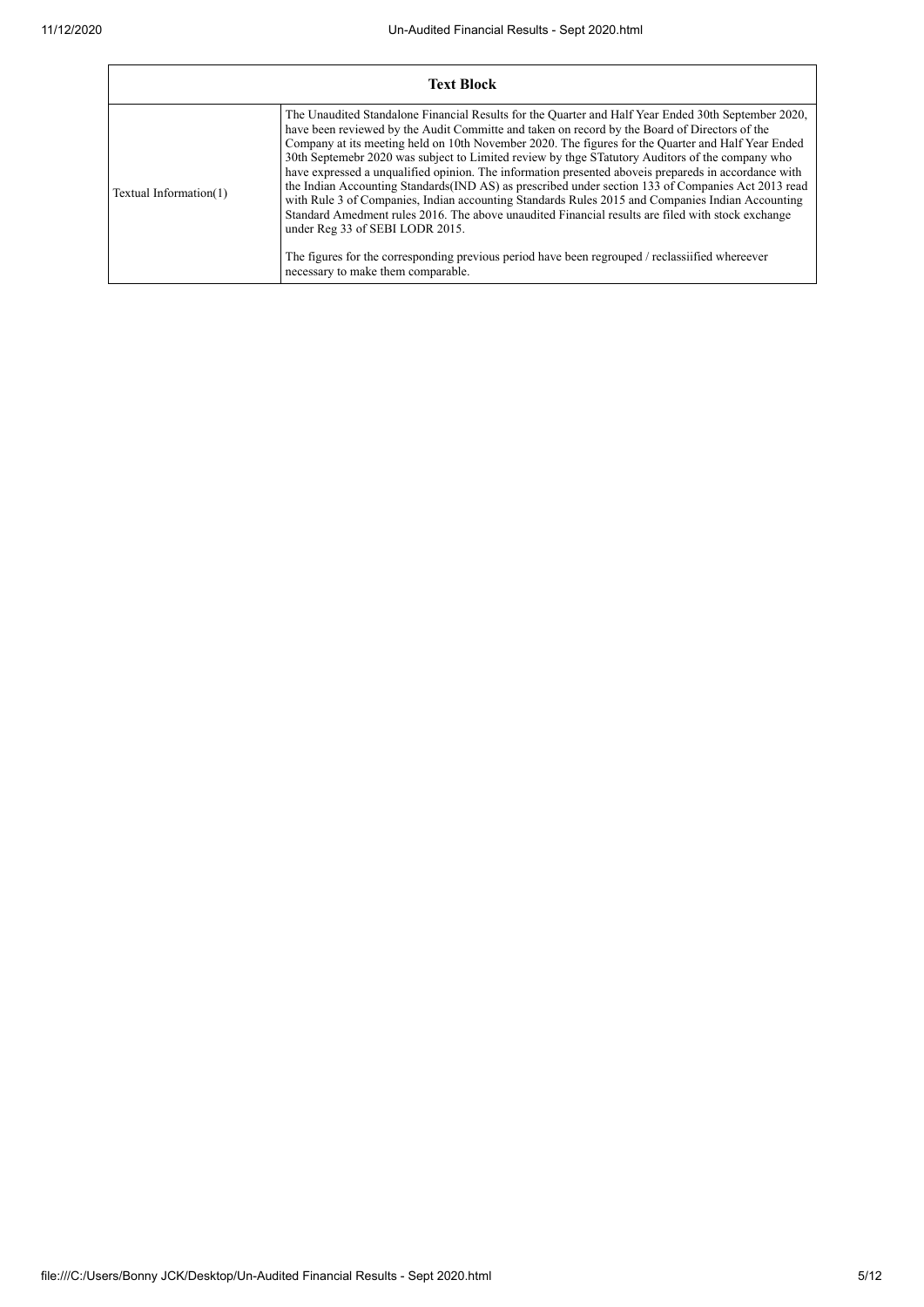| <b>Text Block</b>      |                                                                                                                                                                                                                                                                                                                                                                                                                                                                                                                                                                                                                                                                                                                                                                                                                                                                                                                                                                                                                   |  |
|------------------------|-------------------------------------------------------------------------------------------------------------------------------------------------------------------------------------------------------------------------------------------------------------------------------------------------------------------------------------------------------------------------------------------------------------------------------------------------------------------------------------------------------------------------------------------------------------------------------------------------------------------------------------------------------------------------------------------------------------------------------------------------------------------------------------------------------------------------------------------------------------------------------------------------------------------------------------------------------------------------------------------------------------------|--|
| Textual Information(1) | The Unaudited Standalone Financial Results for the Quarter and Half Year Ended 30th September 2020,<br>have been reviewed by the Audit Committe and taken on record by the Board of Directors of the<br>Company at its meeting held on 10th November 2020. The figures for the Quarter and Half Year Ended<br>30th Septemebr 2020 was subject to Limited review by thge STatutory Auditors of the company who<br>have expressed a unqualified opinion. The information presented above is prepareds in accordance with<br>the Indian Accounting Standards (IND AS) as prescribed under section 133 of Companies Act 2013 read<br>with Rule 3 of Companies, Indian accounting Standards Rules 2015 and Companies Indian Accounting<br>Standard Amedment rules 2016. The above unaudited Financial results are filed with stock exchange<br>under Reg 33 of SEBI LODR 2015.<br>The figures for the corresponding previous period have been regrouped / reclassified whereever<br>necessary to make them comparable. |  |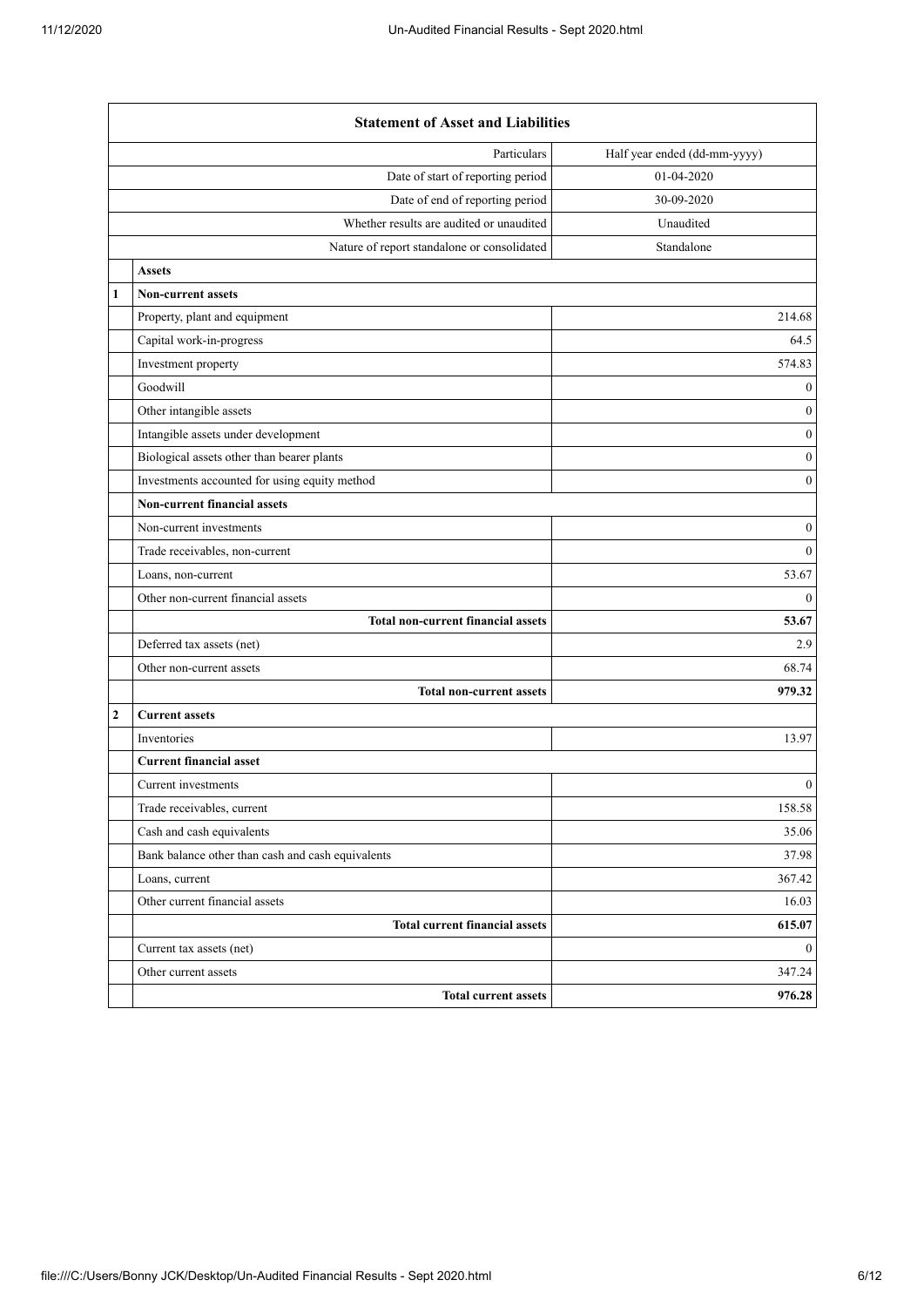|                              | <b>Statement of Asset and Liabilities</b>         |                              |  |
|------------------------------|---------------------------------------------------|------------------------------|--|
|                              | Particulars                                       | Half year ended (dd-mm-yyyy) |  |
|                              | Date of start of reporting period                 | 01-04-2020                   |  |
|                              | Date of end of reporting period                   | 30-09-2020                   |  |
|                              | Whether results are audited or unaudited          | Unaudited                    |  |
|                              | Nature of report standalone or consolidated       | Standalone                   |  |
|                              | <b>Assets</b>                                     |                              |  |
| $\mathbf{1}$                 | <b>Non-current assets</b>                         |                              |  |
|                              | Property, plant and equipment                     | 214.68                       |  |
|                              | Capital work-in-progress                          | 64.5                         |  |
|                              | Investment property                               | 574.83                       |  |
|                              | Goodwill                                          | $\boldsymbol{0}$             |  |
|                              | Other intangible assets                           | $\boldsymbol{0}$             |  |
|                              | Intangible assets under development               | $\boldsymbol{0}$             |  |
|                              | Biological assets other than bearer plants        | $\boldsymbol{0}$             |  |
|                              | Investments accounted for using equity method     | $\boldsymbol{0}$             |  |
| Non-current financial assets |                                                   |                              |  |
|                              | Non-current investments                           | $\boldsymbol{0}$             |  |
|                              | Trade receivables, non-current                    | $\boldsymbol{0}$             |  |
|                              | Loans, non-current                                | 53.67                        |  |
|                              | Other non-current financial assets                | $\overline{0}$               |  |
|                              | <b>Total non-current financial assets</b>         | 53.67                        |  |
|                              | Deferred tax assets (net)                         | 2.9                          |  |
|                              | Other non-current assets                          | 68.74                        |  |
|                              | <b>Total non-current assets</b>                   | 979.32                       |  |
| $\overline{2}$               | <b>Current assets</b>                             |                              |  |
|                              | Inventories                                       | 13.97                        |  |
|                              | <b>Current financial asset</b>                    |                              |  |
|                              | Current investments                               | $\boldsymbol{0}$             |  |
|                              | Trade receivables, current                        | 158.58                       |  |
|                              | Cash and cash equivalents                         | 35.06                        |  |
|                              | Bank balance other than cash and cash equivalents | 37.98                        |  |
|                              | Loans, current                                    | 367.42                       |  |
|                              | Other current financial assets                    | 16.03                        |  |
|                              | <b>Total current financial assets</b>             | 615.07                       |  |
|                              | Current tax assets (net)                          | $\boldsymbol{0}$             |  |
|                              | Other current assets                              | 347.24                       |  |
|                              | <b>Total current assets</b>                       | 976.28                       |  |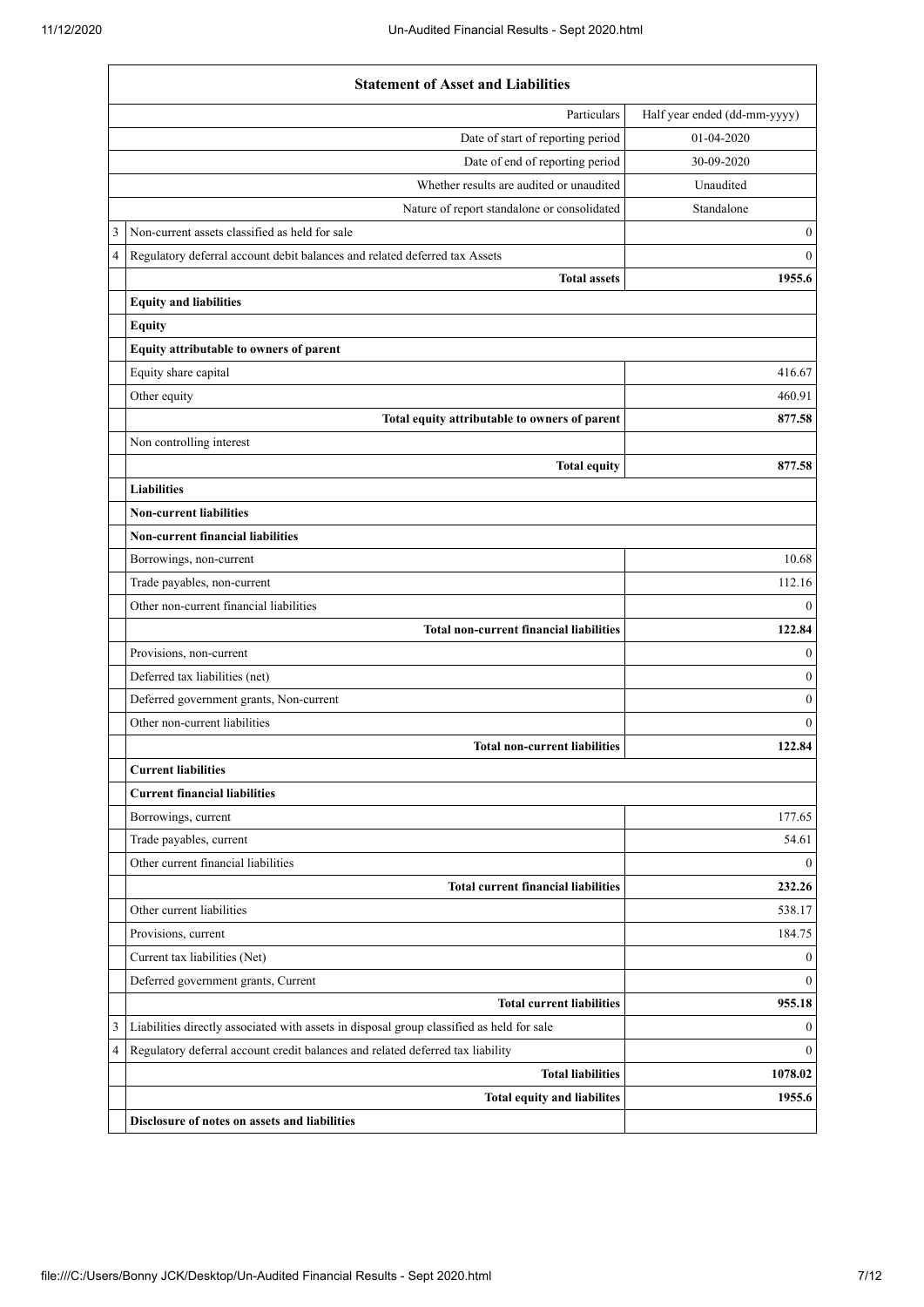|   | <b>Statement of Asset and Liabilities</b>                                                                                                                                   |                                  |
|---|-----------------------------------------------------------------------------------------------------------------------------------------------------------------------------|----------------------------------|
|   | Particulars                                                                                                                                                                 | Half year ended (dd-mm-yyyy)     |
|   | Date of start of reporting period                                                                                                                                           | 01-04-2020                       |
|   | Date of end of reporting period                                                                                                                                             | 30-09-2020                       |
|   | Whether results are audited or unaudited                                                                                                                                    | Unaudited                        |
|   | Nature of report standalone or consolidated                                                                                                                                 | Standalone                       |
| 3 | Non-current assets classified as held for sale                                                                                                                              | $\boldsymbol{0}$                 |
| 4 | Regulatory deferral account debit balances and related deferred tax Assets                                                                                                  | $\mathbf{0}$                     |
|   | <b>Total assets</b>                                                                                                                                                         | 1955.6                           |
|   | <b>Equity and liabilities</b>                                                                                                                                               |                                  |
|   | <b>Equity</b>                                                                                                                                                               |                                  |
|   | Equity attributable to owners of parent                                                                                                                                     |                                  |
|   | Equity share capital                                                                                                                                                        | 416.67                           |
|   | Other equity                                                                                                                                                                | 460.91                           |
|   | Total equity attributable to owners of parent                                                                                                                               | 877.58                           |
|   | Non controlling interest                                                                                                                                                    |                                  |
|   | <b>Total equity</b>                                                                                                                                                         | 877.58                           |
|   | <b>Liabilities</b>                                                                                                                                                          |                                  |
|   | <b>Non-current liabilities</b>                                                                                                                                              |                                  |
|   | Non-current financial liabilities                                                                                                                                           |                                  |
|   | Borrowings, non-current                                                                                                                                                     | 10.68                            |
|   | Trade payables, non-current                                                                                                                                                 | 112.16                           |
|   | Other non-current financial liabilities                                                                                                                                     | $\overline{0}$                   |
|   | <b>Total non-current financial liabilities</b>                                                                                                                              | 122.84                           |
|   | Provisions, non-current                                                                                                                                                     | $\Omega$                         |
|   | Deferred tax liabilities (net)                                                                                                                                              | $\boldsymbol{0}$                 |
|   | Deferred government grants, Non-current                                                                                                                                     | $\boldsymbol{0}$                 |
|   | Other non-current liabilities                                                                                                                                               | $\Omega$                         |
|   | <b>Total non-current liabilities</b>                                                                                                                                        | 122.84                           |
|   | <b>Current liabilities</b>                                                                                                                                                  |                                  |
|   | <b>Current financial liabilities</b>                                                                                                                                        |                                  |
|   | Borrowings, current                                                                                                                                                         | 177.65                           |
|   | Trade payables, current                                                                                                                                                     | 54.61                            |
|   | Other current financial liabilities                                                                                                                                         | $\overline{0}$                   |
|   | <b>Total current financial liabilities</b><br>Other current liabilities                                                                                                     | 232.26<br>538.17                 |
|   |                                                                                                                                                                             |                                  |
|   | Provisions, current                                                                                                                                                         | 184.75                           |
|   | Current tax liabilities (Net)                                                                                                                                               | $\boldsymbol{0}$<br>$\mathbf{0}$ |
|   | Deferred government grants, Current<br><b>Total current liabilities</b>                                                                                                     | 955.18                           |
| 3 |                                                                                                                                                                             | $\boldsymbol{0}$                 |
| 4 | Liabilities directly associated with assets in disposal group classified as held for sale<br>Regulatory deferral account credit balances and related deferred tax liability | $\mathbf{0}$                     |
|   | <b>Total liabilities</b>                                                                                                                                                    | 1078.02                          |
|   | <b>Total equity and liabilites</b>                                                                                                                                          | 1955.6                           |
|   | Disclosure of notes on assets and liabilities                                                                                                                               |                                  |
|   |                                                                                                                                                                             |                                  |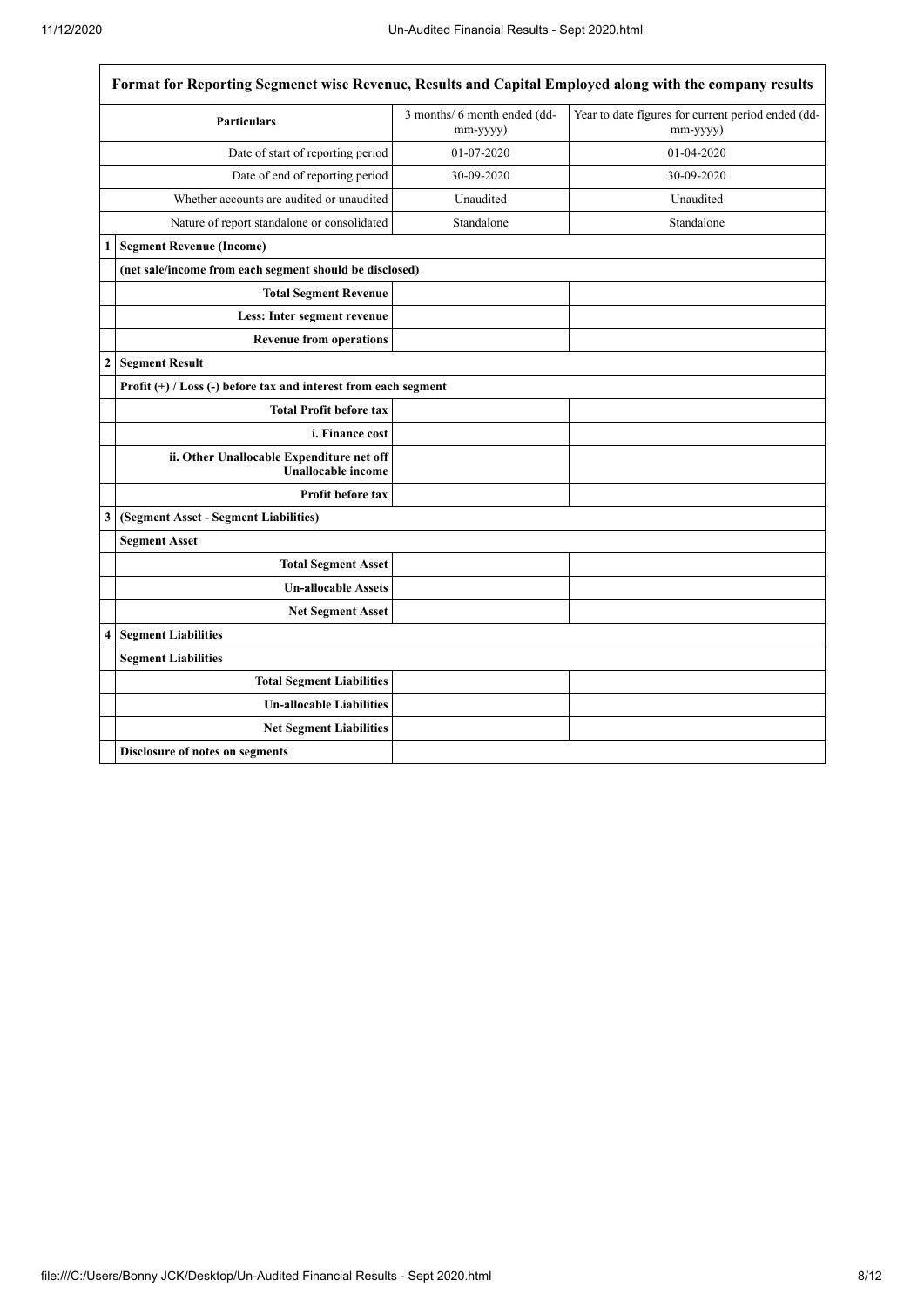|                | Format for Reporting Segmenet wise Revenue, Results and Capital Employed along with the company results |                                          |                                                                |  |  |
|----------------|---------------------------------------------------------------------------------------------------------|------------------------------------------|----------------------------------------------------------------|--|--|
|                | <b>Particulars</b>                                                                                      | 3 months/ 6 month ended (dd-<br>mm-yyyy) | Year to date figures for current period ended (dd-<br>mm-yyyy) |  |  |
|                | Date of start of reporting period                                                                       | 01-07-2020                               | 01-04-2020                                                     |  |  |
|                | Date of end of reporting period                                                                         | 30-09-2020                               | 30-09-2020                                                     |  |  |
|                | Whether accounts are audited or unaudited                                                               | Unaudited                                | Unaudited                                                      |  |  |
|                | Nature of report standalone or consolidated                                                             | Standalone                               | Standalone                                                     |  |  |
| 1              | <b>Segment Revenue (Income)</b>                                                                         |                                          |                                                                |  |  |
|                | (net sale/income from each segment should be disclosed)                                                 |                                          |                                                                |  |  |
|                | <b>Total Segment Revenue</b>                                                                            |                                          |                                                                |  |  |
|                | Less: Inter segment revenue                                                                             |                                          |                                                                |  |  |
|                | <b>Revenue from operations</b>                                                                          |                                          |                                                                |  |  |
| $\overline{c}$ | <b>Segment Result</b>                                                                                   |                                          |                                                                |  |  |
|                | Profit $(+)$ / Loss $(-)$ before tax and interest from each segment                                     |                                          |                                                                |  |  |
|                | <b>Total Profit before tax</b>                                                                          |                                          |                                                                |  |  |
|                | i. Finance cost                                                                                         |                                          |                                                                |  |  |
|                | ii. Other Unallocable Expenditure net off<br><b>Unallocable income</b>                                  |                                          |                                                                |  |  |
|                | Profit before tax                                                                                       |                                          |                                                                |  |  |
| 3              | (Segment Asset - Segment Liabilities)                                                                   |                                          |                                                                |  |  |
|                | <b>Segment Asset</b>                                                                                    |                                          |                                                                |  |  |
|                | <b>Total Segment Asset</b>                                                                              |                                          |                                                                |  |  |
|                | <b>Un-allocable Assets</b>                                                                              |                                          |                                                                |  |  |
|                | <b>Net Segment Asset</b>                                                                                |                                          |                                                                |  |  |
| 4              | <b>Segment Liabilities</b>                                                                              |                                          |                                                                |  |  |
|                | <b>Segment Liabilities</b>                                                                              |                                          |                                                                |  |  |
|                | <b>Total Segment Liabilities</b>                                                                        |                                          |                                                                |  |  |
|                | <b>Un-allocable Liabilities</b>                                                                         |                                          |                                                                |  |  |
|                | <b>Net Segment Liabilities</b>                                                                          |                                          |                                                                |  |  |
|                | Disclosure of notes on segments                                                                         |                                          |                                                                |  |  |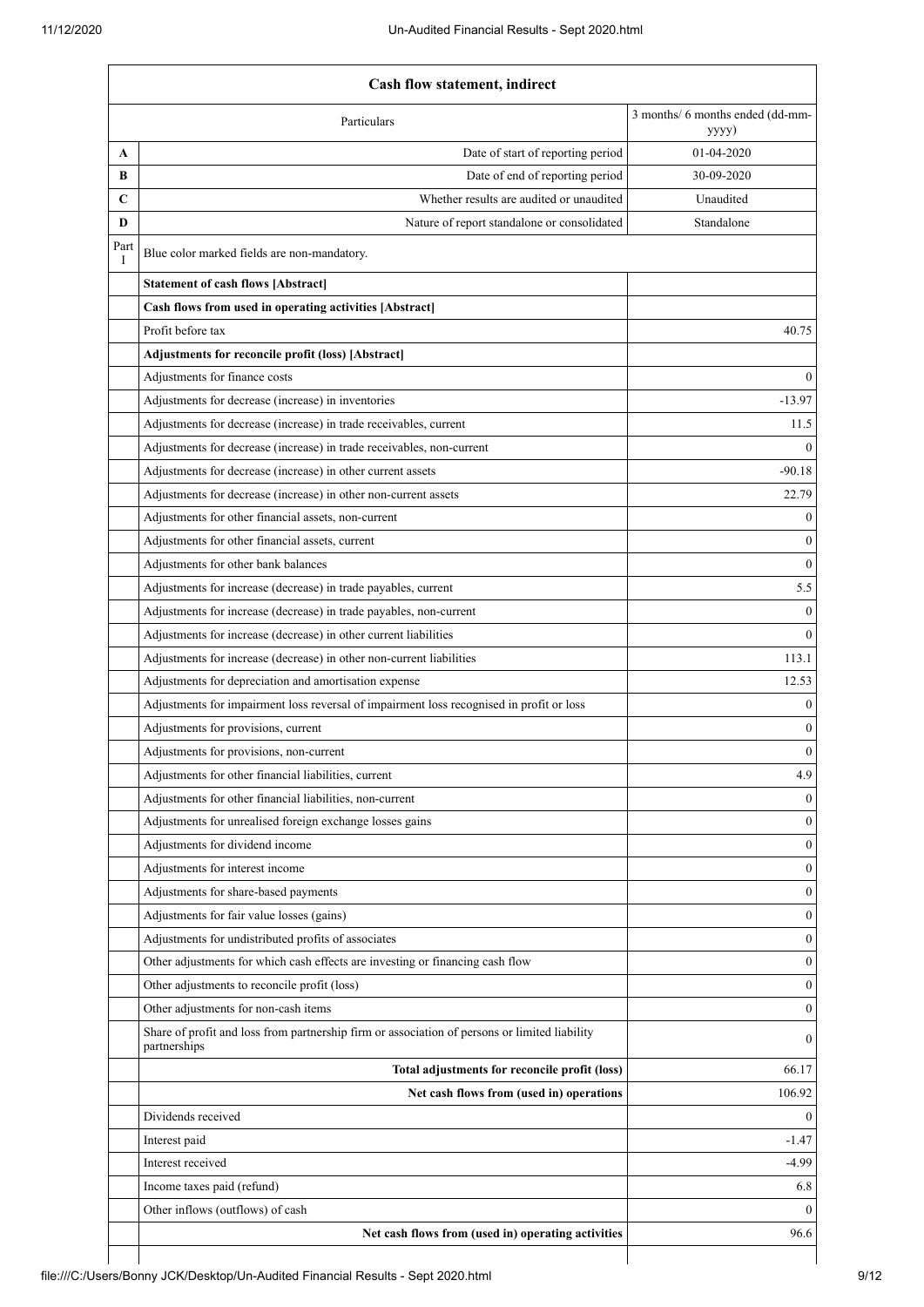|             | <b>Cash flow statement, indirect</b>                                                                          |                                           |  |
|-------------|---------------------------------------------------------------------------------------------------------------|-------------------------------------------|--|
|             | Particulars                                                                                                   | 3 months/ 6 months ended (dd-mm-<br>yyyy) |  |
| A           | Date of start of reporting period                                                                             | 01-04-2020                                |  |
| B           | Date of end of reporting period                                                                               | 30-09-2020                                |  |
| $\mathbf C$ | Whether results are audited or unaudited                                                                      | Unaudited                                 |  |
| D           | Nature of report standalone or consolidated                                                                   | Standalone                                |  |
| Part<br>I   | Blue color marked fields are non-mandatory.                                                                   |                                           |  |
|             | <b>Statement of cash flows [Abstract]</b>                                                                     |                                           |  |
|             | Cash flows from used in operating activities [Abstract]                                                       |                                           |  |
|             | Profit before tax                                                                                             | 40.75                                     |  |
|             | Adjustments for reconcile profit (loss) [Abstract]                                                            |                                           |  |
|             | Adjustments for finance costs                                                                                 | $\Omega$                                  |  |
|             | Adjustments for decrease (increase) in inventories                                                            | $-13.97$                                  |  |
|             | Adjustments for decrease (increase) in trade receivables, current                                             | 11.5                                      |  |
|             | Adjustments for decrease (increase) in trade receivables, non-current                                         | $\Omega$                                  |  |
|             | Adjustments for decrease (increase) in other current assets                                                   | $-90.18$                                  |  |
|             | Adjustments for decrease (increase) in other non-current assets                                               | 22.79                                     |  |
|             | Adjustments for other financial assets, non-current                                                           | $\mathbf{0}$                              |  |
|             | Adjustments for other financial assets, current                                                               | $\mathbf{0}$                              |  |
|             | Adjustments for other bank balances                                                                           | $\mathbf{0}$                              |  |
|             | Adjustments for increase (decrease) in trade payables, current                                                | 5.5                                       |  |
|             | Adjustments for increase (decrease) in trade payables, non-current                                            | $\boldsymbol{0}$                          |  |
|             | Adjustments for increase (decrease) in other current liabilities                                              | $\theta$                                  |  |
|             | Adjustments for increase (decrease) in other non-current liabilities                                          | 113.1                                     |  |
|             | Adjustments for depreciation and amortisation expense                                                         | 12.53                                     |  |
|             | Adjustments for impairment loss reversal of impairment loss recognised in profit or loss                      | $\mathbf{0}$                              |  |
|             | Adjustments for provisions, current                                                                           | $\mathbf{0}$                              |  |
|             | Adjustments for provisions, non-current                                                                       | $\boldsymbol{0}$                          |  |
|             | Adjustments for other financial liabilities, current                                                          | 4.9                                       |  |
|             | Adjustments for other financial liabilities, non-current                                                      | $\theta$                                  |  |
|             | Adjustments for unrealised foreign exchange losses gains                                                      | $\theta$                                  |  |
|             | Adjustments for dividend income                                                                               | $\mathbf{0}$                              |  |
|             | Adjustments for interest income                                                                               | $\mathbf{0}$                              |  |
|             | Adjustments for share-based payments                                                                          | $\mathbf{0}$                              |  |
|             | Adjustments for fair value losses (gains)                                                                     | $\mathbf{0}$                              |  |
|             | Adjustments for undistributed profits of associates                                                           | $\mathbf{0}$                              |  |
|             | Other adjustments for which cash effects are investing or financing cash flow                                 | $\mathbf{0}$                              |  |
|             | Other adjustments to reconcile profit (loss)                                                                  | $\mathbf{0}$                              |  |
|             | Other adjustments for non-cash items                                                                          | $\mathbf{0}$                              |  |
|             | Share of profit and loss from partnership firm or association of persons or limited liability<br>partnerships | $\mathbf{0}$                              |  |
|             | Total adjustments for reconcile profit (loss)                                                                 | 66.17                                     |  |
|             | Net cash flows from (used in) operations                                                                      | 106.92                                    |  |
|             | Dividends received                                                                                            | $\theta$                                  |  |
|             | Interest paid                                                                                                 | $-1.47$                                   |  |
|             | Interest received                                                                                             | $-4.99$                                   |  |
|             | Income taxes paid (refund)                                                                                    | 6.8                                       |  |
|             | Other inflows (outflows) of cash                                                                              | $\Omega$                                  |  |
|             | Net cash flows from (used in) operating activities                                                            | 96.6                                      |  |
|             |                                                                                                               |                                           |  |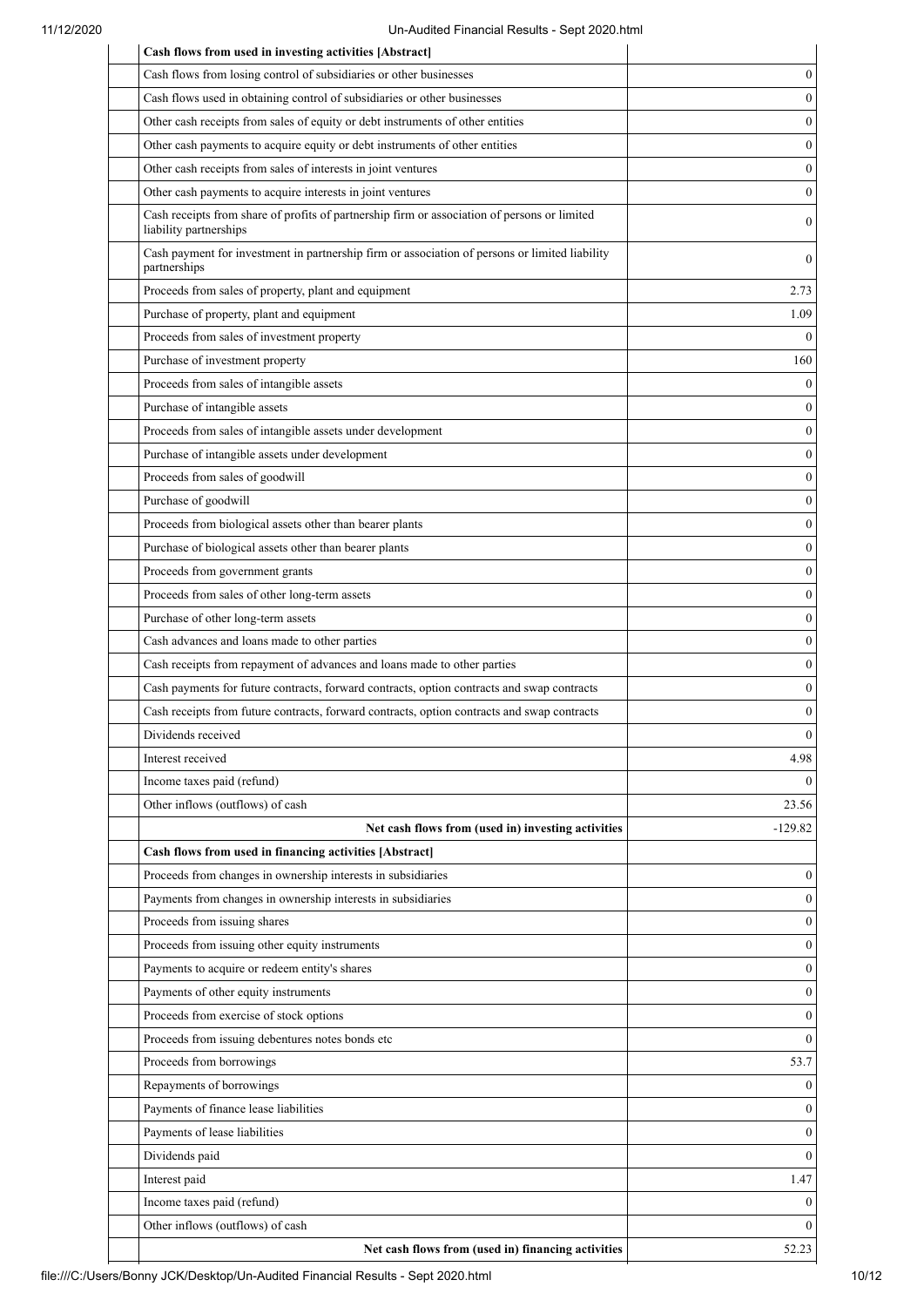| Cash flows from used in investing activities [Abstract]                                                                |                              |
|------------------------------------------------------------------------------------------------------------------------|------------------------------|
| Cash flows from losing control of subsidiaries or other businesses                                                     | 0                            |
| Cash flows used in obtaining control of subsidiaries or other businesses                                               | $\boldsymbol{0}$             |
| Other cash receipts from sales of equity or debt instruments of other entities                                         | $\boldsymbol{0}$             |
| Other cash payments to acquire equity or debt instruments of other entities                                            | $\boldsymbol{0}$             |
| Other cash receipts from sales of interests in joint ventures                                                          | $\boldsymbol{0}$             |
| Other cash payments to acquire interests in joint ventures                                                             | 0                            |
| Cash receipts from share of profits of partnership firm or association of persons or limited<br>liability partnerships | $\boldsymbol{0}$             |
| Cash payment for investment in partnership firm or association of persons or limited liability<br>partnerships         | $\boldsymbol{0}$             |
| Proceeds from sales of property, plant and equipment                                                                   | 2.73                         |
| Purchase of property, plant and equipment                                                                              | 1.09                         |
| Proceeds from sales of investment property                                                                             | $\theta$                     |
| Purchase of investment property                                                                                        | 160                          |
| Proceeds from sales of intangible assets                                                                               | $\mathbf{0}$                 |
| Purchase of intangible assets                                                                                          | $\mathbf{0}$                 |
| Proceeds from sales of intangible assets under development                                                             | $\mathbf{0}$                 |
| Purchase of intangible assets under development                                                                        | $\boldsymbol{0}$             |
| Proceeds from sales of goodwill                                                                                        | $\mathbf{0}$                 |
| Purchase of goodwill                                                                                                   | $\mathbf{0}$                 |
| Proceeds from biological assets other than bearer plants                                                               | $\mathbf{0}$                 |
| Purchase of biological assets other than bearer plants                                                                 | $\mathbf{0}$                 |
| Proceeds from government grants                                                                                        | $\mathbf{0}$                 |
| Proceeds from sales of other long-term assets                                                                          | $\boldsymbol{0}$             |
| Purchase of other long-term assets                                                                                     | $\boldsymbol{0}$             |
| Cash advances and loans made to other parties                                                                          | $\mathbf{0}$                 |
| Cash receipts from repayment of advances and loans made to other parties                                               | $\boldsymbol{0}$             |
| Cash payments for future contracts, forward contracts, option contracts and swap contracts                             | $\mathbf{0}$                 |
| Cash receipts from future contracts, forward contracts, option contracts and swap contracts                            | $\boldsymbol{0}$             |
| Dividends received                                                                                                     | $\theta$                     |
| Interest received                                                                                                      | 4.98                         |
| Income taxes paid (refund)                                                                                             | $\Omega$                     |
| Other inflows (outflows) of cash                                                                                       | 23.56                        |
| Net cash flows from (used in) investing activities                                                                     | $-129.82$                    |
| Cash flows from used in financing activities [Abstract]                                                                |                              |
| Proceeds from changes in ownership interests in subsidiaries                                                           | $\mathbf{0}$                 |
| Payments from changes in ownership interests in subsidiaries                                                           | $\boldsymbol{0}$             |
| Proceeds from issuing shares                                                                                           | $\mathbf{0}$                 |
| Proceeds from issuing other equity instruments                                                                         | $\boldsymbol{0}$             |
| Payments to acquire or redeem entity's shares                                                                          | $\mathbf{0}$                 |
| Payments of other equity instruments                                                                                   | $\boldsymbol{0}$             |
| Proceeds from exercise of stock options                                                                                | $\boldsymbol{0}$             |
| Proceeds from issuing debentures notes bonds etc                                                                       | $\mathbf{0}$                 |
|                                                                                                                        |                              |
| Proceeds from borrowings                                                                                               | 53.7                         |
| Repayments of borrowings<br>Payments of finance lease liabilities                                                      | $\theta$<br>$\boldsymbol{0}$ |
|                                                                                                                        |                              |
| Payments of lease liabilities                                                                                          | $\boldsymbol{0}$             |
| Dividends paid                                                                                                         | $\mathbf{0}$                 |
| Interest paid                                                                                                          | 1.47                         |
| Income taxes paid (refund)                                                                                             | $\boldsymbol{0}$             |
| Other inflows (outflows) of cash                                                                                       | $\mathbf{0}$                 |
| Net cash flows from (used in) financing activities                                                                     | 52.23                        |